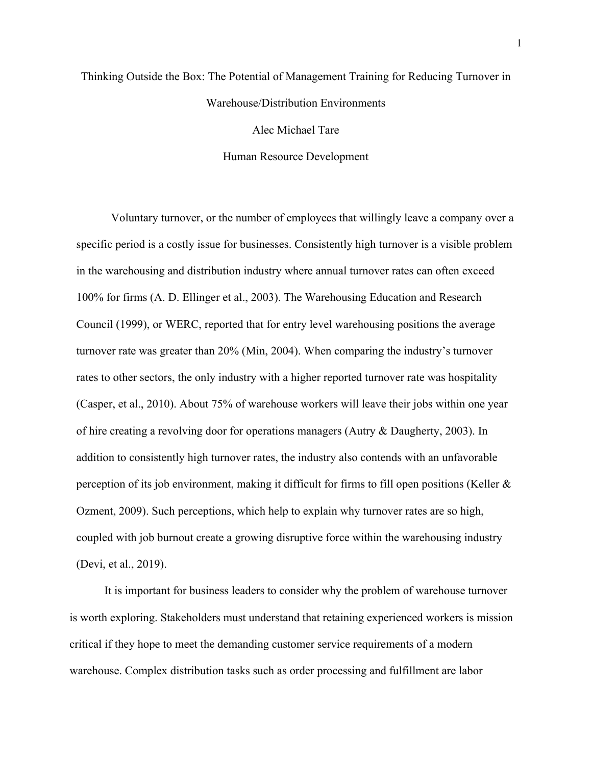# Thinking Outside the Box: The Potential of Management Training for Reducing Turnover in Warehouse/Distribution Environments

Alec Michael Tare

Human Resource Development

Voluntary turnover, or the number of employees that willingly leave a company over a specific period is a costly issue for businesses. Consistently high turnover is a visible problem in the warehousing and distribution industry where annual turnover rates can often exceed 100% for firms (A. D. Ellinger et al., 2003). The Warehousing Education and Research Council (1999), or WERC, reported that for entry level warehousing positions the average turnover rate was greater than 20% (Min, 2004). When comparing the industry's turnover rates to other sectors, the only industry with a higher reported turnover rate was hospitality (Casper, et al., 2010). About 75% of warehouse workers will leave their jobs within one year of hire creating a revolving door for operations managers (Autry & Daugherty, 2003). In addition to consistently high turnover rates, the industry also contends with an unfavorable perception of its job environment, making it difficult for firms to fill open positions (Keller  $\&$ Ozment, 2009). Such perceptions, which help to explain why turnover rates are so high, coupled with job burnout create a growing disruptive force within the warehousing industry (Devi, et al., 2019).

It is important for business leaders to consider why the problem of warehouse turnover is worth exploring. Stakeholders must understand that retaining experienced workers is mission critical if they hope to meet the demanding customer service requirements of a modern warehouse. Complex distribution tasks such as order processing and fulfillment are labor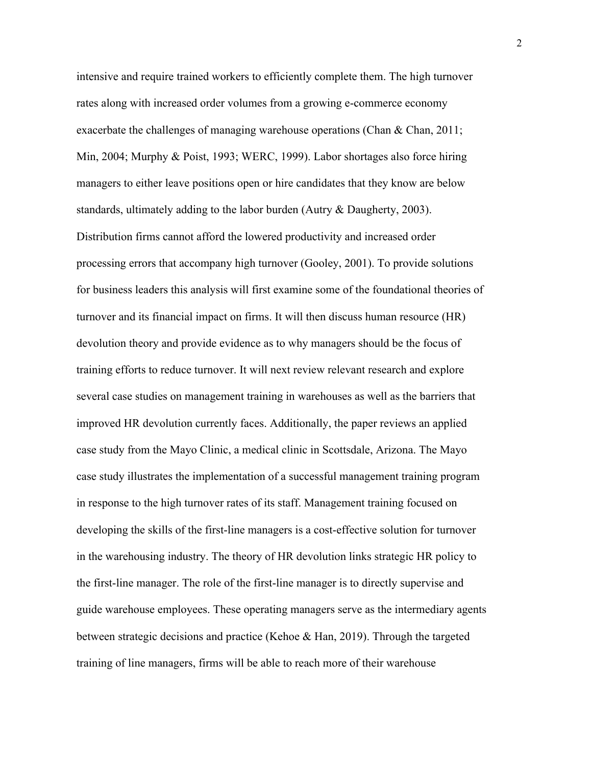intensive and require trained workers to efficiently complete them. The high turnover rates along with increased order volumes from a growing e-commerce economy exacerbate the challenges of managing warehouse operations (Chan & Chan, 2011; Min, 2004; Murphy & Poist, 1993; WERC, 1999). Labor shortages also force hiring managers to either leave positions open or hire candidates that they know are below standards, ultimately adding to the labor burden (Autry & Daugherty, 2003). Distribution firms cannot afford the lowered productivity and increased order processing errors that accompany high turnover (Gooley, 2001). To provide solutions for business leaders this analysis will first examine some of the foundational theories of turnover and its financial impact on firms. It will then discuss human resource (HR) devolution theory and provide evidence as to why managers should be the focus of training efforts to reduce turnover. It will next review relevant research and explore several case studies on management training in warehouses as well as the barriers that improved HR devolution currently faces. Additionally, the paper reviews an applied case study from the Mayo Clinic, a medical clinic in Scottsdale, Arizona. The Mayo case study illustrates the implementation of a successful management training program in response to the high turnover rates of its staff. Management training focused on developing the skills of the first-line managers is a cost-effective solution for turnover in the warehousing industry. The theory of HR devolution links strategic HR policy to the first-line manager. The role of the first-line manager is to directly supervise and guide warehouse employees. These operating managers serve as the intermediary agents between strategic decisions and practice (Kehoe & Han, 2019). Through the targeted training of line managers, firms will be able to reach more of their warehouse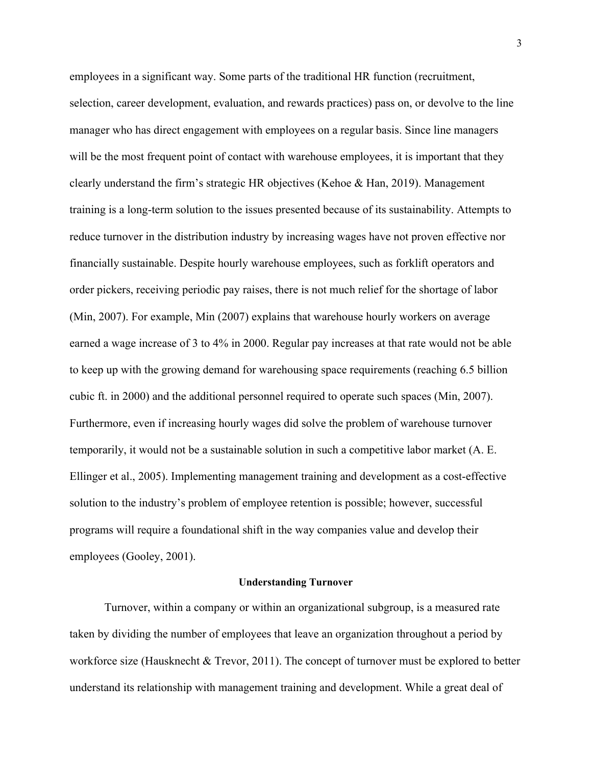employees in a significant way. Some parts of the traditional HR function (recruitment, selection, career development, evaluation, and rewards practices) pass on, or devolve to the line manager who has direct engagement with employees on a regular basis. Since line managers will be the most frequent point of contact with warehouse employees, it is important that they clearly understand the firm's strategic HR objectives (Kehoe & Han, 2019). Management training is a long-term solution to the issues presented because of its sustainability. Attempts to reduce turnover in the distribution industry by increasing wages have not proven effective nor financially sustainable. Despite hourly warehouse employees, such as forklift operators and order pickers, receiving periodic pay raises, there is not much relief for the shortage of labor (Min, 2007). For example, Min (2007) explains that warehouse hourly workers on average earned a wage increase of 3 to 4% in 2000. Regular pay increases at that rate would not be able to keep up with the growing demand for warehousing space requirements (reaching 6.5 billion cubic ft. in 2000) and the additional personnel required to operate such spaces (Min, 2007). Furthermore, even if increasing hourly wages did solve the problem of warehouse turnover temporarily, it would not be a sustainable solution in such a competitive labor market (A. E. Ellinger et al., 2005). Implementing management training and development as a cost-effective solution to the industry's problem of employee retention is possible; however, successful programs will require a foundational shift in the way companies value and develop their employees (Gooley, 2001).

## **Understanding Turnover**

Turnover, within a company or within an organizational subgroup, is a measured rate taken by dividing the number of employees that leave an organization throughout a period by workforce size (Hausknecht & Trevor, 2011). The concept of turnover must be explored to better understand its relationship with management training and development. While a great deal of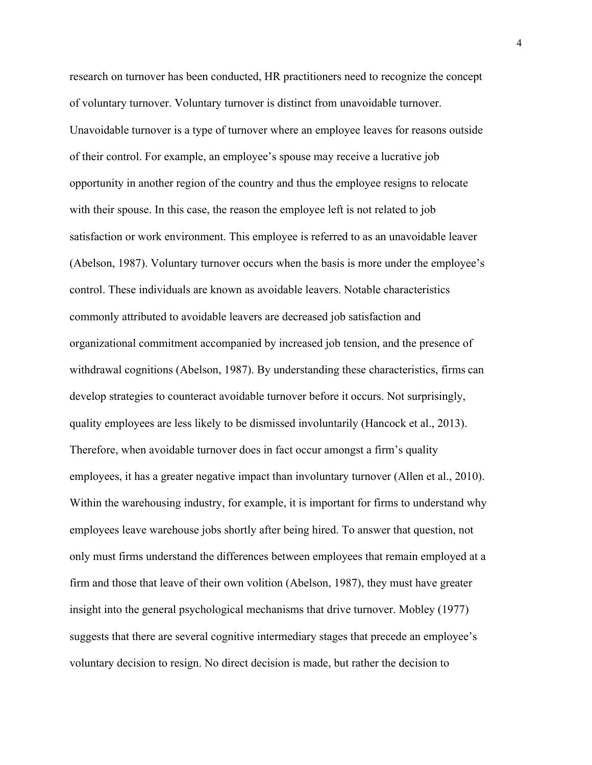research on turnover has been conducted, HR practitioners need to recognize the concept of voluntary turnover. Voluntary turnover is distinct from unavoidable turnover. Unavoidable turnover is a type of turnover where an employee leaves for reasons outside of their control. For example, an employee's spouse may receive a lucrative job opportunity in another region of the country and thus the employee resigns to relocate with their spouse. In this case, the reason the employee left is not related to job satisfaction or work environment. This employee is referred to as an unavoidable leaver (Abelson, 1987). Voluntary turnover occurs when the basis is more under the employee's control. These individuals are known as avoidable leavers. Notable characteristics commonly attributed to avoidable leavers are decreased job satisfaction and organizational commitment accompanied by increased job tension, and the presence of withdrawal cognitions (Abelson, 1987). By understanding these characteristics, firms can develop strategies to counteract avoidable turnover before it occurs. Not surprisingly, quality employees are less likely to be dismissed involuntarily (Hancock et al., 2013). Therefore, when avoidable turnover does in fact occur amongst a firm's quality employees, it has a greater negative impact than involuntary turnover (Allen et al., 2010). Within the warehousing industry, for example, it is important for firms to understand why employees leave warehouse jobs shortly after being hired. To answer that question, not only must firms understand the differences between employees that remain employed at a firm and those that leave of their own volition (Abelson, 1987), they must have greater insight into the general psychological mechanisms that drive turnover. Mobley (1977) suggests that there are several cognitive intermediary stages that precede an employee's voluntary decision to resign. No direct decision is made, but rather the decision to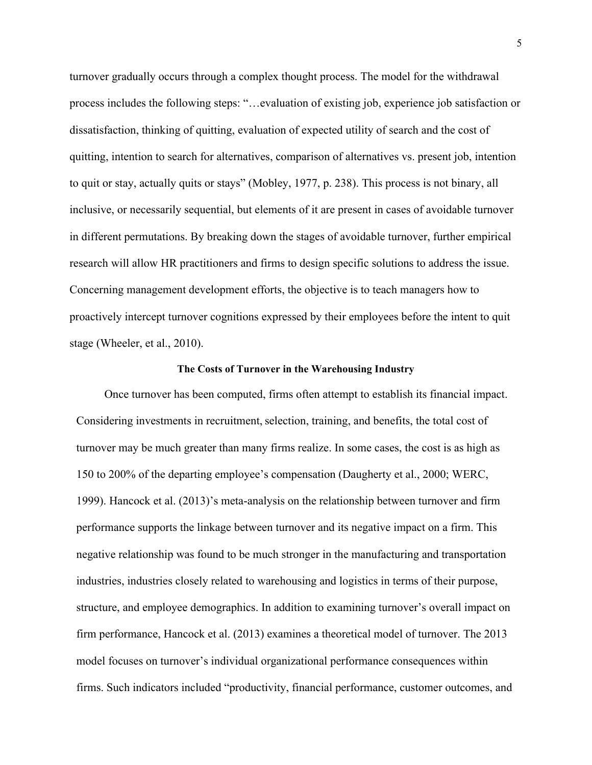turnover gradually occurs through a complex thought process. The model for the withdrawal process includes the following steps: "…evaluation of existing job, experience job satisfaction or dissatisfaction, thinking of quitting, evaluation of expected utility of search and the cost of quitting, intention to search for alternatives, comparison of alternatives vs. present job, intention to quit or stay, actually quits or stays" (Mobley, 1977, p. 238). This process is not binary, all inclusive, or necessarily sequential, but elements of it are present in cases of avoidable turnover in different permutations. By breaking down the stages of avoidable turnover, further empirical research will allow HR practitioners and firms to design specific solutions to address the issue. Concerning management development efforts, the objective is to teach managers how to proactively intercept turnover cognitions expressed by their employees before the intent to quit stage (Wheeler, et al., 2010).

# **The Costs of Turnover in the Warehousing Industry**

Once turnover has been computed, firms often attempt to establish its financial impact. Considering investments in recruitment, selection, training, and benefits, the total cost of turnover may be much greater than many firms realize. In some cases, the cost is as high as 150 to 200% of the departing employee's compensation (Daugherty et al., 2000; WERC, 1999). Hancock et al. (2013)'s meta-analysis on the relationship between turnover and firm performance supports the linkage between turnover and its negative impact on a firm. This negative relationship was found to be much stronger in the manufacturing and transportation industries, industries closely related to warehousing and logistics in terms of their purpose, structure, and employee demographics. In addition to examining turnover's overall impact on firm performance, Hancock et al. (2013) examines a theoretical model of turnover. The 2013 model focuses on turnover's individual organizational performance consequences within firms. Such indicators included "productivity, financial performance, customer outcomes, and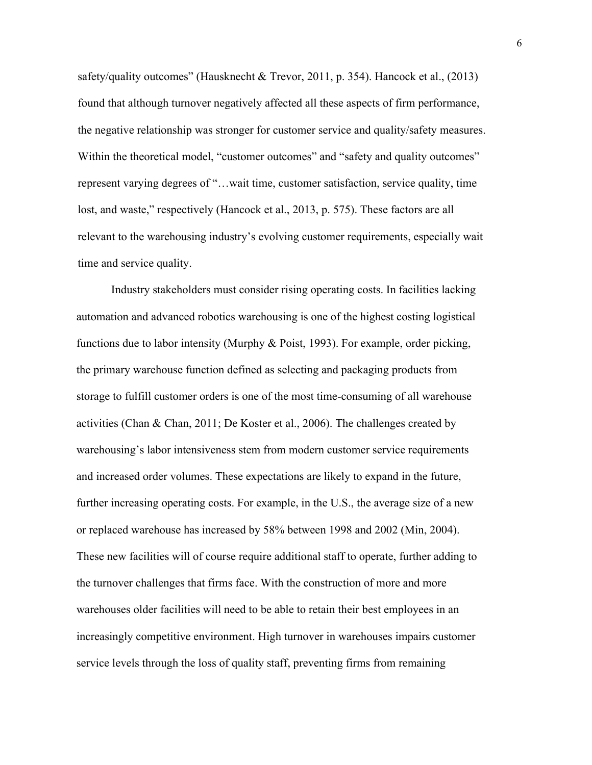safety/quality outcomes" (Hausknecht & Trevor, 2011, p. 354). Hancock et al., (2013) found that although turnover negatively affected all these aspects of firm performance, the negative relationship was stronger for customer service and quality/safety measures. Within the theoretical model, "customer outcomes" and "safety and quality outcomes" represent varying degrees of "…wait time, customer satisfaction, service quality, time lost, and waste," respectively (Hancock et al., 2013, p. 575). These factors are all relevant to the warehousing industry's evolving customer requirements, especially wait time and service quality.

Industry stakeholders must consider rising operating costs. In facilities lacking automation and advanced robotics warehousing is one of the highest costing logistical functions due to labor intensity (Murphy & Poist, 1993). For example, order picking, the primary warehouse function defined as selecting and packaging products from storage to fulfill customer orders is one of the most time-consuming of all warehouse activities (Chan & Chan, 2011; De Koster et al., 2006). The challenges created by warehousing's labor intensiveness stem from modern customer service requirements and increased order volumes. These expectations are likely to expand in the future, further increasing operating costs. For example, in the U.S., the average size of a new or replaced warehouse has increased by 58% between 1998 and 2002 (Min, 2004). These new facilities will of course require additional staff to operate, further adding to the turnover challenges that firms face. With the construction of more and more warehouses older facilities will need to be able to retain their best employees in an increasingly competitive environment. High turnover in warehouses impairs customer service levels through the loss of quality staff, preventing firms from remaining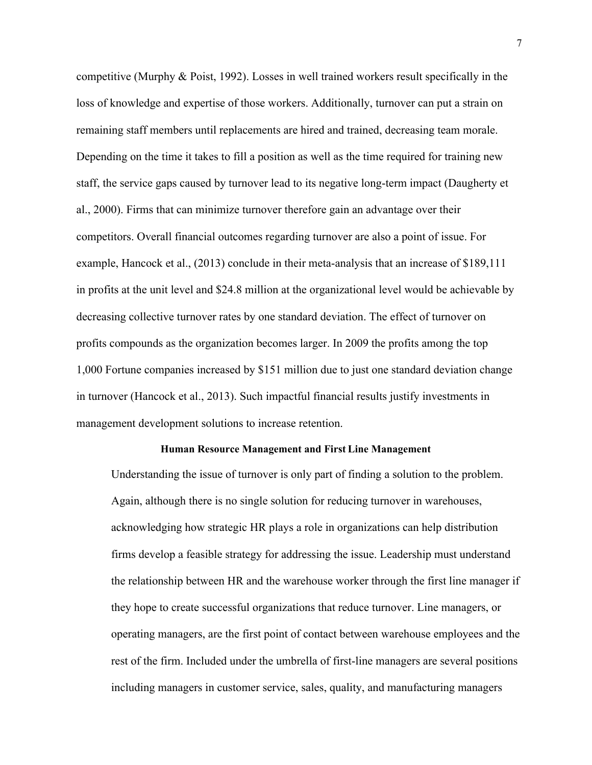competitive (Murphy & Poist, 1992). Losses in well trained workers result specifically in the loss of knowledge and expertise of those workers. Additionally, turnover can put a strain on remaining staff members until replacements are hired and trained, decreasing team morale. Depending on the time it takes to fill a position as well as the time required for training new staff, the service gaps caused by turnover lead to its negative long-term impact (Daugherty et al., 2000). Firms that can minimize turnover therefore gain an advantage over their competitors. Overall financial outcomes regarding turnover are also a point of issue. For example, Hancock et al., (2013) conclude in their meta-analysis that an increase of \$189,111 in profits at the unit level and \$24.8 million at the organizational level would be achievable by decreasing collective turnover rates by one standard deviation. The effect of turnover on profits compounds as the organization becomes larger. In 2009 the profits among the top 1,000 Fortune companies increased by \$151 million due to just one standard deviation change in turnover (Hancock et al., 2013). Such impactful financial results justify investments in management development solutions to increase retention.

### **Human Resource Management and First Line Management**

Understanding the issue of turnover is only part of finding a solution to the problem. Again, although there is no single solution for reducing turnover in warehouses, acknowledging how strategic HR plays a role in organizations can help distribution firms develop a feasible strategy for addressing the issue. Leadership must understand the relationship between HR and the warehouse worker through the first line manager if they hope to create successful organizations that reduce turnover. Line managers, or operating managers, are the first point of contact between warehouse employees and the rest of the firm. Included under the umbrella of first-line managers are several positions including managers in customer service, sales, quality, and manufacturing managers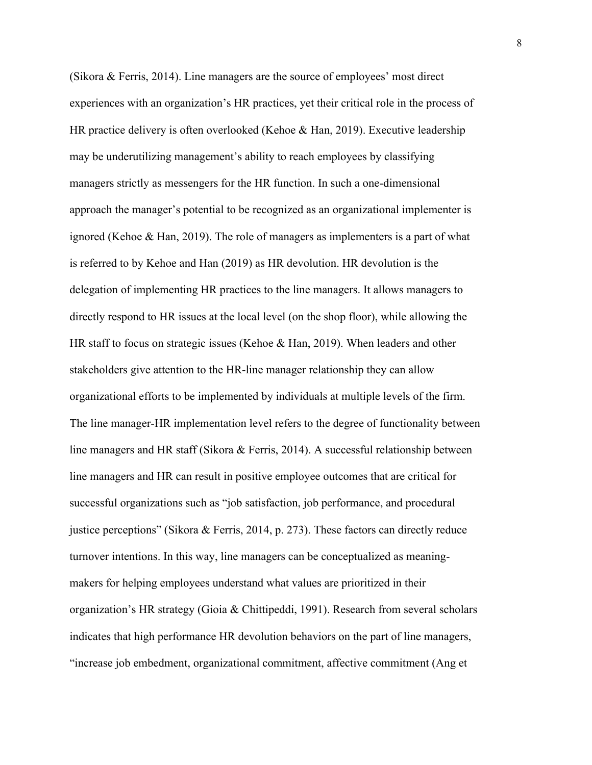(Sikora & Ferris, 2014). Line managers are the source of employees' most direct experiences with an organization's HR practices, yet their critical role in the process of HR practice delivery is often overlooked (Kehoe & Han, 2019). Executive leadership may be underutilizing management's ability to reach employees by classifying managers strictly as messengers for the HR function. In such a one-dimensional approach the manager's potential to be recognized as an organizational implementer is ignored (Kehoe & Han, 2019). The role of managers as implementers is a part of what is referred to by Kehoe and Han (2019) as HR devolution. HR devolution is the delegation of implementing HR practices to the line managers. It allows managers to directly respond to HR issues at the local level (on the shop floor), while allowing the HR staff to focus on strategic issues (Kehoe & Han, 2019). When leaders and other stakeholders give attention to the HR-line manager relationship they can allow organizational efforts to be implemented by individuals at multiple levels of the firm. The line manager-HR implementation level refers to the degree of functionality between line managers and HR staff (Sikora & Ferris, 2014). A successful relationship between line managers and HR can result in positive employee outcomes that are critical for successful organizations such as "job satisfaction, job performance, and procedural justice perceptions" (Sikora & Ferris, 2014, p. 273). These factors can directly reduce turnover intentions. In this way, line managers can be conceptualized as meaningmakers for helping employees understand what values are prioritized in their organization's HR strategy (Gioia & Chittipeddi, 1991). Research from several scholars indicates that high performance HR devolution behaviors on the part of line managers, "increase job embedment, organizational commitment, affective commitment (Ang et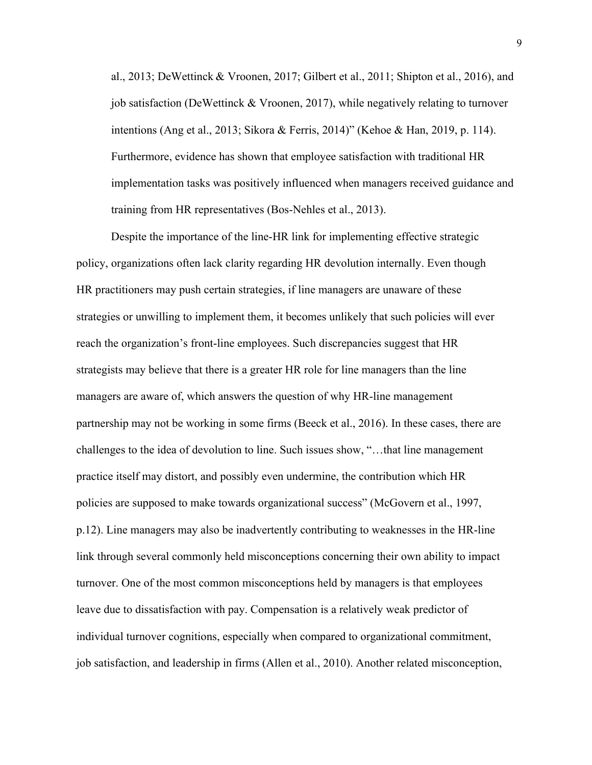al., 2013; DeWettinck & Vroonen, 2017; Gilbert et al., 2011; Shipton et al., 2016), and job satisfaction (DeWettinck & Vroonen, 2017), while negatively relating to turnover intentions (Ang et al., 2013; Sikora & Ferris, 2014)" (Kehoe & Han, 2019, p. 114). Furthermore, evidence has shown that employee satisfaction with traditional HR implementation tasks was positively influenced when managers received guidance and training from HR representatives (Bos-Nehles et al., 2013).

Despite the importance of the line-HR link for implementing effective strategic policy, organizations often lack clarity regarding HR devolution internally. Even though HR practitioners may push certain strategies, if line managers are unaware of these strategies or unwilling to implement them, it becomes unlikely that such policies will ever reach the organization's front-line employees. Such discrepancies suggest that HR strategists may believe that there is a greater HR role for line managers than the line managers are aware of, which answers the question of why HR-line management partnership may not be working in some firms (Beeck et al., 2016). In these cases, there are challenges to the idea of devolution to line. Such issues show, "…that line management practice itself may distort, and possibly even undermine, the contribution which HR policies are supposed to make towards organizational success" (McGovern et al., 1997, p.12). Line managers may also be inadvertently contributing to weaknesses in the HR-line link through several commonly held misconceptions concerning their own ability to impact turnover. One of the most common misconceptions held by managers is that employees leave due to dissatisfaction with pay. Compensation is a relatively weak predictor of individual turnover cognitions, especially when compared to organizational commitment, job satisfaction, and leadership in firms (Allen et al., 2010). Another related misconception,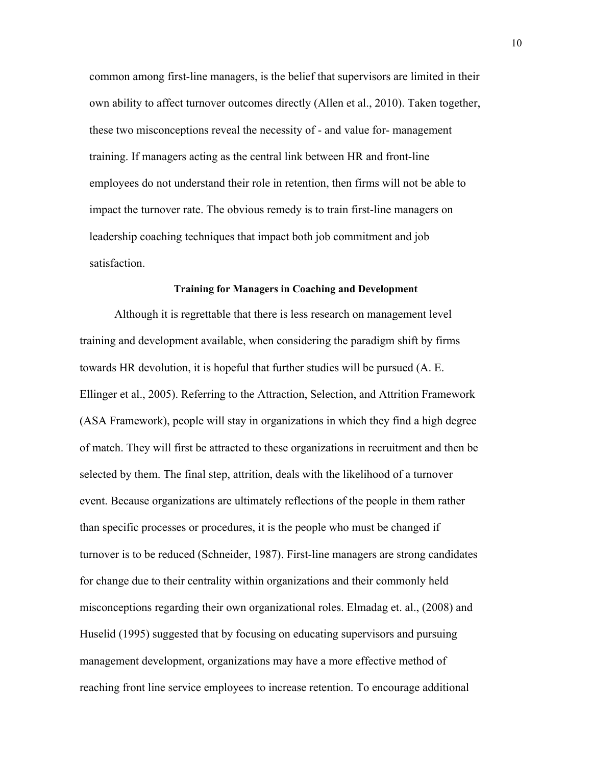common among first-line managers, is the belief that supervisors are limited in their own ability to affect turnover outcomes directly (Allen et al., 2010). Taken together, these two misconceptions reveal the necessity of - and value for- management training. If managers acting as the central link between HR and front-line employees do not understand their role in retention, then firms will not be able to impact the turnover rate. The obvious remedy is to train first-line managers on leadership coaching techniques that impact both job commitment and job satisfaction.

# **Training for Managers in Coaching and Development**

Although it is regrettable that there is less research on management level training and development available, when considering the paradigm shift by firms towards HR devolution, it is hopeful that further studies will be pursued (A. E. Ellinger et al., 2005). Referring to the Attraction, Selection, and Attrition Framework (ASA Framework), people will stay in organizations in which they find a high degree of match. They will first be attracted to these organizations in recruitment and then be selected by them. The final step, attrition, deals with the likelihood of a turnover event. Because organizations are ultimately reflections of the people in them rather than specific processes or procedures, it is the people who must be changed if turnover is to be reduced (Schneider, 1987). First-line managers are strong candidates for change due to their centrality within organizations and their commonly held misconceptions regarding their own organizational roles. Elmadag et. al., (2008) and Huselid (1995) suggested that by focusing on educating supervisors and pursuing management development, organizations may have a more effective method of reaching front line service employees to increase retention. To encourage additional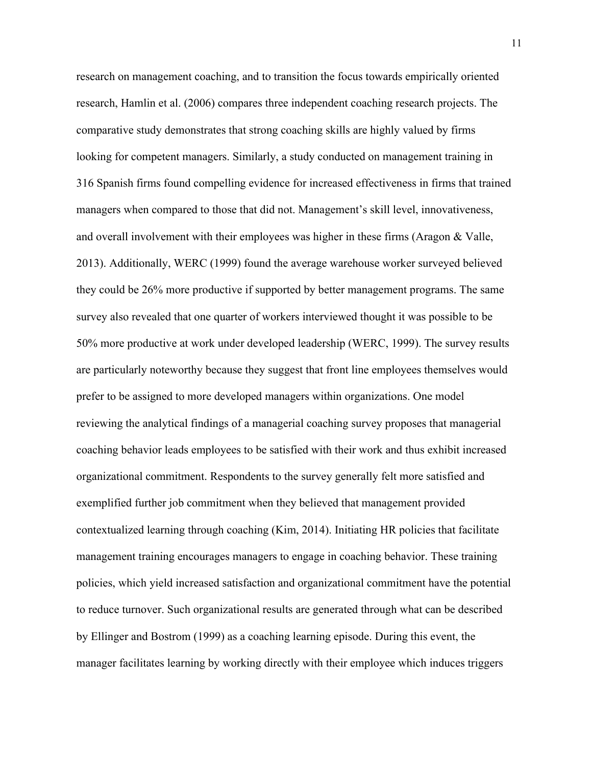research on management coaching, and to transition the focus towards empirically oriented research, Hamlin et al. (2006) compares three independent coaching research projects. The comparative study demonstrates that strong coaching skills are highly valued by firms looking for competent managers. Similarly, a study conducted on management training in 316 Spanish firms found compelling evidence for increased effectiveness in firms that trained managers when compared to those that did not. Management's skill level, innovativeness, and overall involvement with their employees was higher in these firms (Aragon & Valle, 2013). Additionally, WERC (1999) found the average warehouse worker surveyed believed they could be 26% more productive if supported by better management programs. The same survey also revealed that one quarter of workers interviewed thought it was possible to be 50% more productive at work under developed leadership (WERC, 1999). The survey results are particularly noteworthy because they suggest that front line employees themselves would prefer to be assigned to more developed managers within organizations. One model reviewing the analytical findings of a managerial coaching survey proposes that managerial coaching behavior leads employees to be satisfied with their work and thus exhibit increased organizational commitment. Respondents to the survey generally felt more satisfied and exemplified further job commitment when they believed that management provided contextualized learning through coaching (Kim, 2014). Initiating HR policies that facilitate management training encourages managers to engage in coaching behavior. These training policies, which yield increased satisfaction and organizational commitment have the potential to reduce turnover. Such organizational results are generated through what can be described by Ellinger and Bostrom (1999) as a coaching learning episode. During this event, the manager facilitates learning by working directly with their employee which induces triggers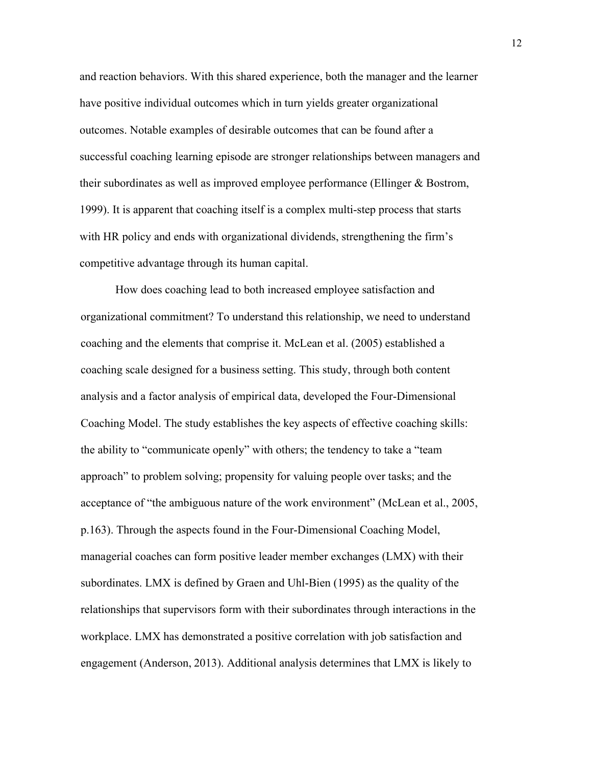and reaction behaviors. With this shared experience, both the manager and the learner have positive individual outcomes which in turn yields greater organizational outcomes. Notable examples of desirable outcomes that can be found after a successful coaching learning episode are stronger relationships between managers and their subordinates as well as improved employee performance (Ellinger & Bostrom, 1999). It is apparent that coaching itself is a complex multi-step process that starts with HR policy and ends with organizational dividends, strengthening the firm's competitive advantage through its human capital.

How does coaching lead to both increased employee satisfaction and organizational commitment? To understand this relationship, we need to understand coaching and the elements that comprise it. McLean et al. (2005) established a coaching scale designed for a business setting. This study, through both content analysis and a factor analysis of empirical data, developed the Four-Dimensional Coaching Model. The study establishes the key aspects of effective coaching skills: the ability to "communicate openly" with others; the tendency to take a "team approach" to problem solving; propensity for valuing people over tasks; and the acceptance of "the ambiguous nature of the work environment" (McLean et al., 2005, p.163). Through the aspects found in the Four-Dimensional Coaching Model, managerial coaches can form positive leader member exchanges (LMX) with their subordinates. LMX is defined by Graen and Uhl-Bien (1995) as the quality of the relationships that supervisors form with their subordinates through interactions in the workplace. LMX has demonstrated a positive correlation with job satisfaction and engagement (Anderson, 2013). Additional analysis determines that LMX is likely to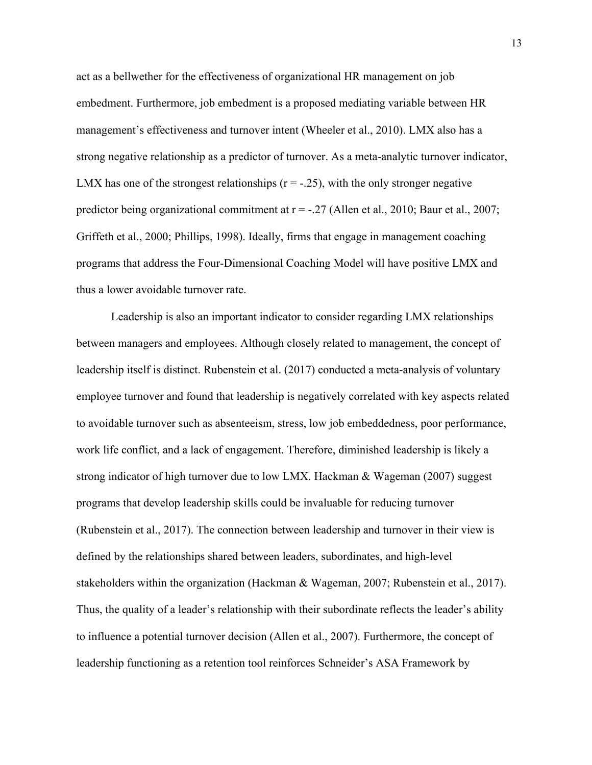act as a bellwether for the effectiveness of organizational HR management on job embedment. Furthermore, job embedment is a proposed mediating variable between HR management's effectiveness and turnover intent (Wheeler et al., 2010). LMX also has a strong negative relationship as a predictor of turnover. As a meta-analytic turnover indicator, LMX has one of the strongest relationships  $(r = -0.25)$ , with the only stronger negative predictor being organizational commitment at  $r = -0.27$  (Allen et al., 2010; Baur et al., 2007; Griffeth et al., 2000; Phillips, 1998). Ideally, firms that engage in management coaching programs that address the Four-Dimensional Coaching Model will have positive LMX and thus a lower avoidable turnover rate.

Leadership is also an important indicator to consider regarding LMX relationships between managers and employees. Although closely related to management, the concept of leadership itself is distinct. Rubenstein et al. (2017) conducted a meta-analysis of voluntary employee turnover and found that leadership is negatively correlated with key aspects related to avoidable turnover such as absenteeism, stress, low job embeddedness, poor performance, work life conflict, and a lack of engagement. Therefore, diminished leadership is likely a strong indicator of high turnover due to low LMX. Hackman & Wageman (2007) suggest programs that develop leadership skills could be invaluable for reducing turnover (Rubenstein et al., 2017). The connection between leadership and turnover in their view is defined by the relationships shared between leaders, subordinates, and high-level stakeholders within the organization (Hackman & Wageman, 2007; Rubenstein et al., 2017). Thus, the quality of a leader's relationship with their subordinate reflects the leader's ability to influence a potential turnover decision (Allen et al., 2007). Furthermore, the concept of leadership functioning as a retention tool reinforces Schneider's ASA Framework by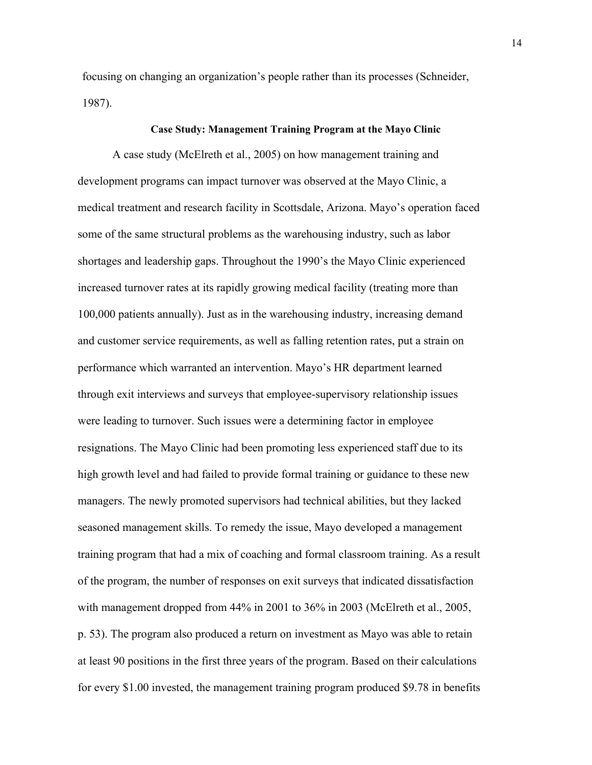focusing on changing an organization's people rather than its processes (Schneider, 1987).

## **Case Study: Management Training Program at the Mayo Clinic**

A case study (McElreth et al., 2005) on how management training and development programs can impact turnover was observed at the Mayo Clinic, a medical treatment and research facility in Scottsdale, Arizona. Mayo's operation faced some of the same structural problems as the warehousing industry, such as labor shortages and leadership gaps. Throughout the 1990's the Mayo Clinic experienced increased turnover rates at its rapidly growing medical facility (treating more than 100,000 patients annually). Just as in the warehousing industry, increasing demand and customer service requirements, as well as falling retention rates, put a strain on performance which warranted an intervention. Mayo's HR department learned through exit interviews and surveys that employee-supervisory relationship issues were leading to turnover. Such issues were a determining factor in employee resignations. The Mayo Clinic had been promoting less experienced staff due to its high growth level and had failed to provide formal training or guidance to these new managers. The newly promoted supervisors had technical abilities, but they lacked seasoned management skills. To remedy the issue, Mayo developed a management training program that had a mix of coaching and formal classroom training. As a result of the program, the number of responses on exit surveys that indicated dissatisfaction with management dropped from 44% in 2001 to 36% in 2003 (McElreth et al., 2005, p. 53). The program also produced a return on investment as Mayo was able to retain at least 90 positions in the first three years of the program. Based on their calculations for every \$1.00 invested, the management training program produced \$9.78 in benefits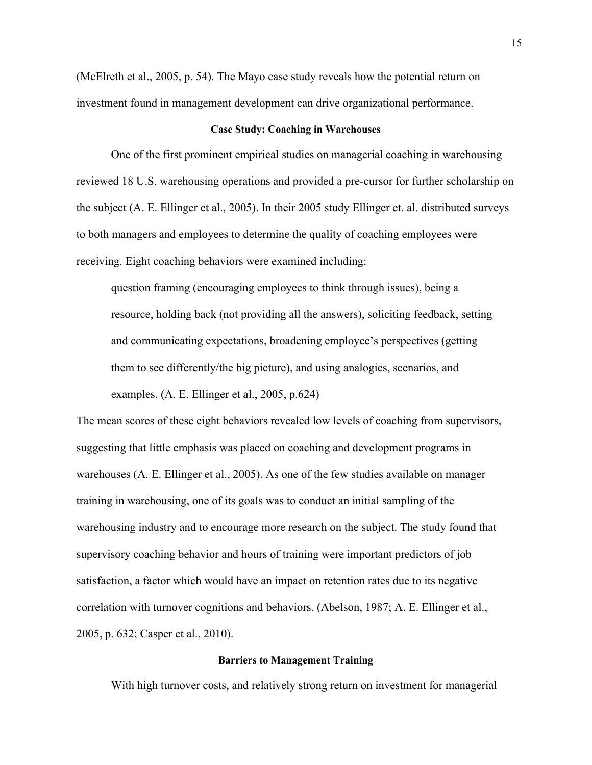(McElreth et al., 2005, p. 54). The Mayo case study reveals how the potential return on investment found in management development can drive organizational performance.

## **Case Study: Coaching in Warehouses**

One of the first prominent empirical studies on managerial coaching in warehousing reviewed 18 U.S. warehousing operations and provided a pre-cursor for further scholarship on the subject (A. E. Ellinger et al., 2005). In their 2005 study Ellinger et. al. distributed surveys to both managers and employees to determine the quality of coaching employees were receiving. Eight coaching behaviors were examined including:

question framing (encouraging employees to think through issues), being a resource, holding back (not providing all the answers), soliciting feedback, setting and communicating expectations, broadening employee's perspectives (getting them to see differently/the big picture), and using analogies, scenarios, and examples. (A. E. Ellinger et al., 2005, p.624)

The mean scores of these eight behaviors revealed low levels of coaching from supervisors, suggesting that little emphasis was placed on coaching and development programs in warehouses (A. E. Ellinger et al., 2005). As one of the few studies available on manager training in warehousing, one of its goals was to conduct an initial sampling of the warehousing industry and to encourage more research on the subject. The study found that supervisory coaching behavior and hours of training were important predictors of job satisfaction, a factor which would have an impact on retention rates due to its negative correlation with turnover cognitions and behaviors. (Abelson, 1987; A. E. Ellinger et al., 2005, p. 632; Casper et al., 2010).

# **Barriers to Management Training**

With high turnover costs, and relatively strong return on investment for managerial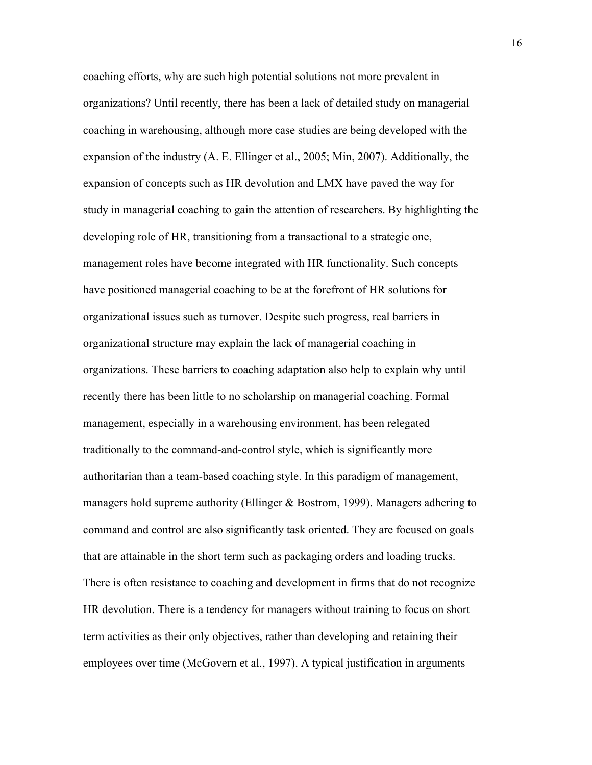coaching efforts, why are such high potential solutions not more prevalent in organizations? Until recently, there has been a lack of detailed study on managerial coaching in warehousing, although more case studies are being developed with the expansion of the industry (A. E. Ellinger et al., 2005; Min, 2007). Additionally, the expansion of concepts such as HR devolution and LMX have paved the way for study in managerial coaching to gain the attention of researchers. By highlighting the developing role of HR, transitioning from a transactional to a strategic one, management roles have become integrated with HR functionality. Such concepts have positioned managerial coaching to be at the forefront of HR solutions for organizational issues such as turnover. Despite such progress, real barriers in organizational structure may explain the lack of managerial coaching in organizations. These barriers to coaching adaptation also help to explain why until recently there has been little to no scholarship on managerial coaching. Formal management, especially in a warehousing environment, has been relegated traditionally to the command-and-control style, which is significantly more authoritarian than a team-based coaching style. In this paradigm of management, managers hold supreme authority (Ellinger & Bostrom, 1999). Managers adhering to command and control are also significantly task oriented. They are focused on goals that are attainable in the short term such as packaging orders and loading trucks. There is often resistance to coaching and development in firms that do not recognize HR devolution. There is a tendency for managers without training to focus on short term activities as their only objectives, rather than developing and retaining their employees over time (McGovern et al., 1997). A typical justification in arguments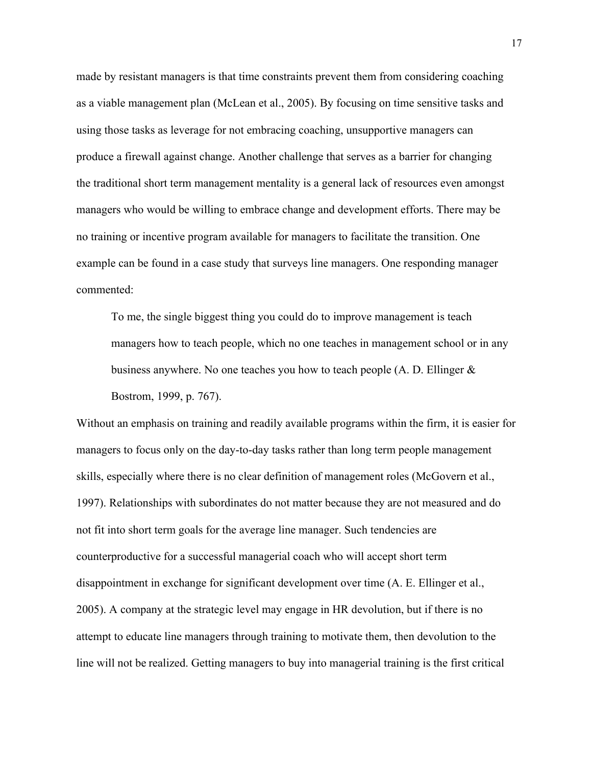made by resistant managers is that time constraints prevent them from considering coaching as a viable management plan (McLean et al., 2005). By focusing on time sensitive tasks and using those tasks as leverage for not embracing coaching, unsupportive managers can produce a firewall against change. Another challenge that serves as a barrier for changing the traditional short term management mentality is a general lack of resources even amongst managers who would be willing to embrace change and development efforts. There may be no training or incentive program available for managers to facilitate the transition. One example can be found in a case study that surveys line managers. One responding manager commented:

To me, the single biggest thing you could do to improve management is teach managers how to teach people, which no one teaches in management school or in any business anywhere. No one teaches you how to teach people (A. D. Ellinger & Bostrom, 1999, p. 767).

Without an emphasis on training and readily available programs within the firm, it is easier for managers to focus only on the day-to-day tasks rather than long term people management skills, especially where there is no clear definition of management roles (McGovern et al., 1997). Relationships with subordinates do not matter because they are not measured and do not fit into short term goals for the average line manager. Such tendencies are counterproductive for a successful managerial coach who will accept short term disappointment in exchange for significant development over time (A. E. Ellinger et al., 2005). A company at the strategic level may engage in HR devolution, but if there is no attempt to educate line managers through training to motivate them, then devolution to the line will not be realized. Getting managers to buy into managerial training is the first critical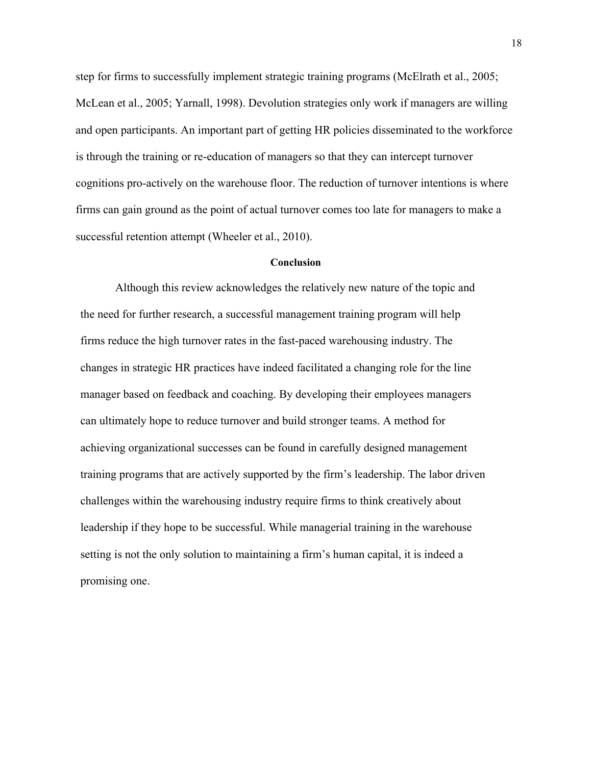step for firms to successfully implement strategic training programs (McElrath et al., 2005; McLean et al., 2005; Yarnall, 1998). Devolution strategies only work if managers are willing and open participants. An important part of getting HR policies disseminated to the workforce is through the training or re-education of managers so that they can intercept turnover cognitions pro-actively on the warehouse floor. The reduction of turnover intentions is where firms can gain ground as the point of actual turnover comes too late for managers to make a successful retention attempt (Wheeler et al., 2010).

## **Conclusion**

Although this review acknowledges the relatively new nature of the topic and the need for further research, a successful management training program will help firms reduce the high turnover rates in the fast-paced warehousing industry. The changes in strategic HR practices have indeed facilitated a changing role for the line manager based on feedback and coaching. By developing their employees managers can ultimately hope to reduce turnover and build stronger teams. A method for achieving organizational successes can be found in carefully designed management training programs that are actively supported by the firm's leadership. The labor driven challenges within the warehousing industry require firms to think creatively about leadership if they hope to be successful. While managerial training in the warehouse setting is not the only solution to maintaining a firm's human capital, it is indeed a promising one.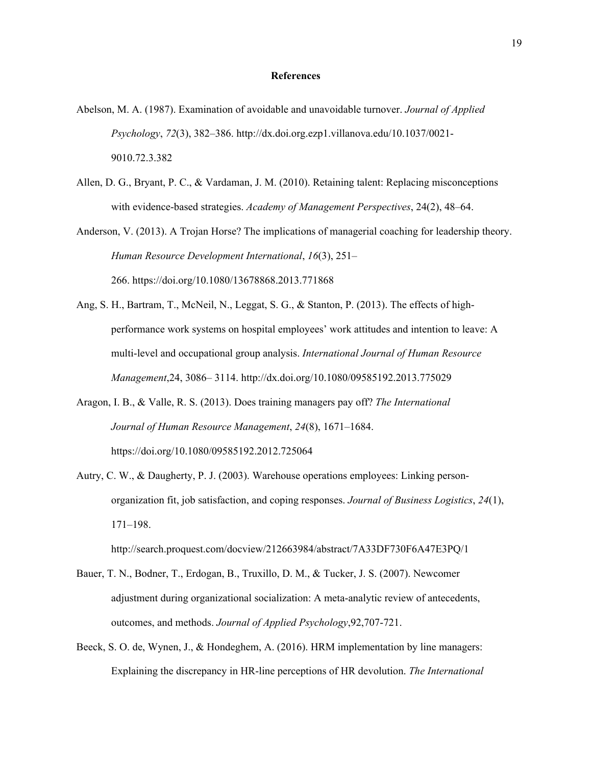#### **References**

- Abelson, M. A. (1987). Examination of avoidable and unavoidable turnover. *Journal of Applied Psychology*, *72*(3), 382–386. http://dx.doi.org.ezp1.villanova.edu/10.1037/0021- 9010.72.3.382
- Allen, D. G., Bryant, P. C., & Vardaman, J. M. (2010). Retaining talent: Replacing misconceptions with evidence-based strategies. *Academy of Management Perspectives*, 24(2), 48–64.

Anderson, V. (2013). A Trojan Horse? The implications of managerial coaching for leadership theory. *Human Resource Development International*, *16*(3), 251– 266. https://doi.org/10.1080/13678868.2013.771868

- Ang, S. H., Bartram, T., McNeil, N., Leggat, S. G., & Stanton, P. (2013). The effects of highperformance work systems on hospital employees' work attitudes and intention to leave: A multi-level and occupational group analysis. *International Journal of Human Resource Management*,24, 3086– 3114. http://dx.doi.org/10.1080/09585192.2013.775029
- Aragon, I. B., & Valle, R. S. (2013). Does training managers pay off? *The International Journal of Human Resource Management*, *24*(8), 1671–1684. https://doi.org/10.1080/09585192.2012.725064
- Autry, C. W., & Daugherty, P. J. (2003). Warehouse operations employees: Linking personorganization fit, job satisfaction, and coping responses. *Journal of Business Logistics*, *24*(1), 171–198.

http://search.proquest.com/docview/212663984/abstract/7A33DF730F6A47E3PQ/1

- Bauer, T. N., Bodner, T., Erdogan, B., Truxillo, D. M., & Tucker, J. S. (2007). Newcomer adjustment during organizational socialization: A meta-analytic review of antecedents, outcomes, and methods. *Journal of Applied Psychology*,92,707-721.
- Beeck, S. O. de, Wynen, J., & Hondeghem, A. (2016). HRM implementation by line managers: Explaining the discrepancy in HR-line perceptions of HR devolution. *The International*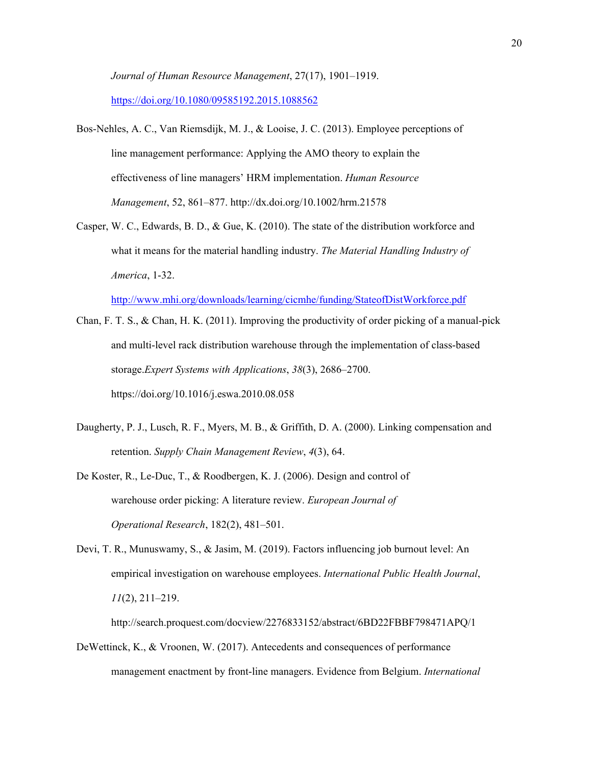*Journal of Human Resource Management*, 27(17), 1901–1919. https://doi.org/10.1080/09585192.2015.1088562

- Bos-Nehles, A. C., Van Riemsdijk, M. J., & Looise, J. C. (2013). Employee perceptions of line management performance: Applying the AMO theory to explain the effectiveness of line managers' HRM implementation. *Human Resource Management*, 52, 861–877. http://dx.doi.org/10.1002/hrm.21578
- Casper, W. C., Edwards, B. D., & Gue, K. (2010). The state of the distribution workforce and what it means for the material handling industry. *The Material Handling Industry of America*, 1-32.

http://www.mhi.org/downloads/learning/cicmhe/funding/StateofDistWorkforce.pdf

- Chan, F. T. S., & Chan, H. K. (2011). Improving the productivity of order picking of a manual-pick and multi-level rack distribution warehouse through the implementation of class-based storage.*Expert Systems with Applications*, *38*(3), 2686–2700. https://doi.org/10.1016/j.eswa.2010.08.058
- Daugherty, P. J., Lusch, R. F., Myers, M. B., & Griffith, D. A. (2000). Linking compensation and retention. *Supply Chain Management Review*, *4*(3), 64.
- De Koster, R., Le-Duc, T., & Roodbergen, K. J. (2006). Design and control of warehouse order picking: A literature review. *European Journal of Operational Research*, 182(2), 481–501.
- Devi, T. R., Munuswamy, S., & Jasim, M. (2019). Factors influencing job burnout level: An empirical investigation on warehouse employees. *International Public Health Journal*, *11*(2), 211–219.

http://search.proquest.com/docview/2276833152/abstract/6BD22FBBF798471APQ/1

DeWettinck, K., & Vroonen, W. (2017). Antecedents and consequences of performance management enactment by front-line managers. Evidence from Belgium. *International*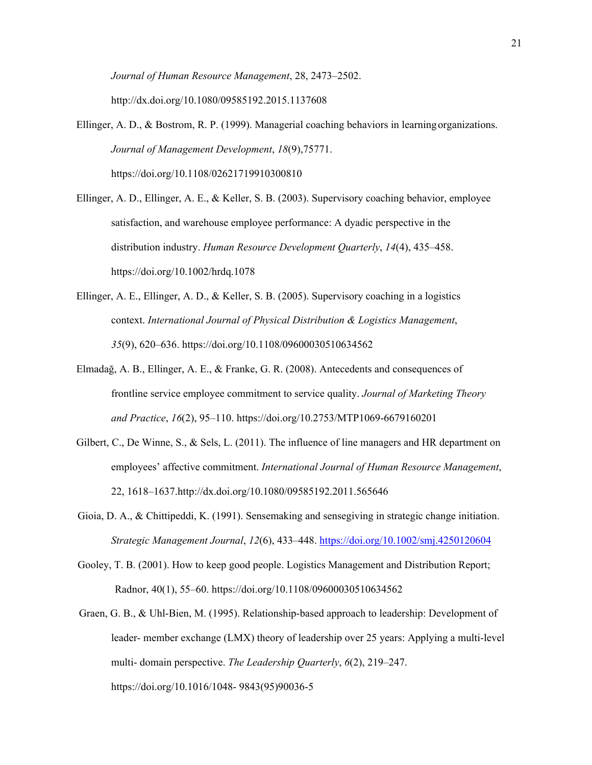*Journal of Human Resource Management*, 28, 2473–2502. http://dx.doi.org/10.1080/09585192.2015.1137608

Ellinger, A. D., & Bostrom, R. P. (1999). Managerial coaching behaviors in learning organizations. *Journal of Management Development*, *18*(9),75771. https://doi.org/10.1108/02621719910300810

Ellinger, A. D., Ellinger, A. E., & Keller, S. B. (2003). Supervisory coaching behavior, employee satisfaction, and warehouse employee performance: A dyadic perspective in the distribution industry. *Human Resource Development Quarterly*, *14*(4), 435–458. https://doi.org/10.1002/hrdq.1078

- Ellinger, A. E., Ellinger, A. D., & Keller, S. B. (2005). Supervisory coaching in a logistics context. *International Journal of Physical Distribution & Logistics Management*, *35*(9), 620–636. https://doi.org/10.1108/09600030510634562
- Elmadağ, A. B., Ellinger, A. E., & Franke, G. R. (2008). Antecedents and consequences of frontline service employee commitment to service quality. *Journal of Marketing Theory and Practice*, *16*(2), 95–110. https://doi.org/10.2753/MTP1069-6679160201
- Gilbert, C., De Winne, S., & Sels, L. (2011). The influence of line managers and HR department on employees' affective commitment. *International Journal of Human Resource Management*, 22, 1618–1637.http://dx.doi.org/10.1080/09585192.2011.565646
- Gioia, D. A., & Chittipeddi, K. (1991). Sensemaking and sensegiving in strategic change initiation. *Strategic Management Journal*, *12*(6), 433–448. https://doi.org/10.1002/smj.4250120604
- Gooley, T. B. (2001). How to keep good people. Logistics Management and Distribution Report; Radnor, 40(1), 55–60. https://doi.org/10.1108/09600030510634562
- Graen, G. B., & Uhl-Bien, M. (1995). Relationship-based approach to leadership: Development of leader- member exchange (LMX) theory of leadership over 25 years: Applying a multi-level multi- domain perspective. *The Leadership Quarterly*, *6*(2), 219–247. https://doi.org/10.1016/1048- 9843(95)90036-5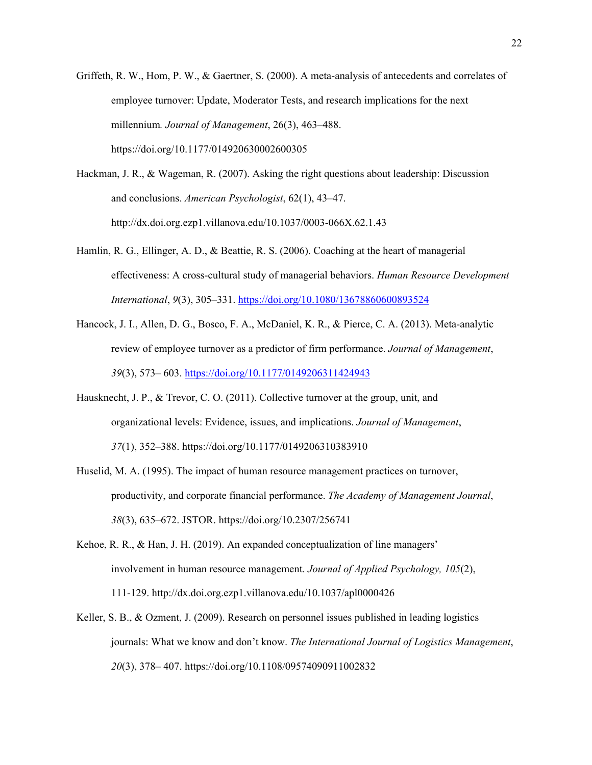- Griffeth, R. W., Hom, P. W., & Gaertner, S. (2000). A meta-analysis of antecedents and correlates of employee turnover: Update, Moderator Tests, and research implications for the next millennium*. Journal of Management*, 26(3), 463–488. https://doi.org/10.1177/014920630002600305
- Hackman, J. R., & Wageman, R. (2007). Asking the right questions about leadership: Discussion and conclusions. *American Psychologist*, 62(1), 43–47. http://dx.doi.org.ezp1.villanova.edu/10.1037/0003-066X.62.1.43
- Hamlin, R. G., Ellinger, A. D., & Beattie, R. S. (2006). Coaching at the heart of managerial effectiveness: A cross-cultural study of managerial behaviors. *Human Resource Development International*, *9*(3), 305–331. https://doi.org/10.1080/13678860600893524
- Hancock, J. I., Allen, D. G., Bosco, F. A., McDaniel, K. R., & Pierce, C. A. (2013). Meta-analytic review of employee turnover as a predictor of firm performance. *Journal of Management*, *39*(3), 573– 603. https://doi.org/10.1177/0149206311424943
- Hausknecht, J. P., & Trevor, C. O. (2011). Collective turnover at the group, unit, and organizational levels: Evidence, issues, and implications. *Journal of Management*, *37*(1), 352–388. https://doi.org/10.1177/0149206310383910
- Huselid, M. A. (1995). The impact of human resource management practices on turnover, productivity, and corporate financial performance. *The Academy of Management Journal*, *38*(3), 635–672. JSTOR. https://doi.org/10.2307/256741
- Kehoe, R. R., & Han, J. H. (2019). An expanded conceptualization of line managers' involvement in human resource management. *Journal of Applied Psychology, 105*(2), 111-129. http://dx.doi.org.ezp1.villanova.edu/10.1037/apl0000426
- Keller, S. B., & Ozment, J. (2009). Research on personnel issues published in leading logistics journals: What we know and don't know. *The International Journal of Logistics Management*, *20*(3), 378– 407. https://doi.org/10.1108/09574090911002832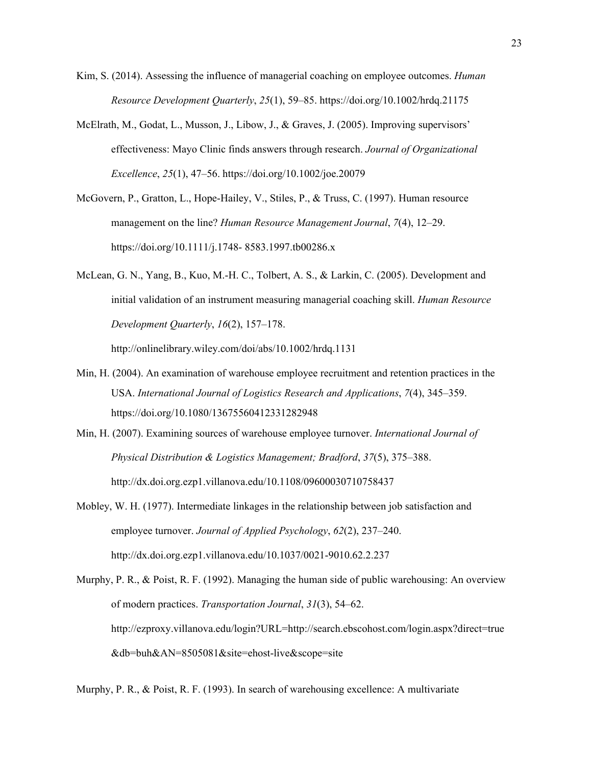- Kim, S. (2014). Assessing the influence of managerial coaching on employee outcomes. *Human Resource Development Quarterly*, *25*(1), 59–85. https://doi.org/10.1002/hrdq.21175
- McElrath, M., Godat, L., Musson, J., Libow, J., & Graves, J. (2005). Improving supervisors' effectiveness: Mayo Clinic finds answers through research. *Journal of Organizational Excellence*, *25*(1), 47–56. https://doi.org/10.1002/joe.20079
- McGovern, P., Gratton, L., Hope-Hailey, V., Stiles, P., & Truss, C. (1997). Human resource management on the line? *Human Resource Management Journal*, *7*(4), 12–29. https://doi.org/10.1111/j.1748- 8583.1997.tb00286.x
- McLean, G. N., Yang, B., Kuo, M.-H. C., Tolbert, A. S., & Larkin, C. (2005). Development and initial validation of an instrument measuring managerial coaching skill. *Human Resource Development Quarterly*, *16*(2), 157–178.

http://onlinelibrary.wiley.com/doi/abs/10.1002/hrdq.1131

- Min, H. (2004). An examination of warehouse employee recruitment and retention practices in the USA. *International Journal of Logistics Research and Applications*, *7*(4), 345–359. https://doi.org/10.1080/13675560412331282948
- Min, H. (2007). Examining sources of warehouse employee turnover. *International Journal of Physical Distribution & Logistics Management; Bradford*, *37*(5), 375–388. http://dx.doi.org.ezp1.villanova.edu/10.1108/09600030710758437
- Mobley, W. H. (1977). Intermediate linkages in the relationship between job satisfaction and employee turnover. *Journal of Applied Psychology*, *62*(2), 237–240. http://dx.doi.org.ezp1.villanova.edu/10.1037/0021-9010.62.2.237
- Murphy, P. R., & Poist, R. F. (1992). Managing the human side of public warehousing: An overview of modern practices. *Transportation Journal*, *31*(3), 54–62. http://ezproxy.villanova.edu/login?URL=http://search.ebscohost.com/login.aspx?direct=true &db=buh&AN=8505081&site=ehost-live&scope=site

Murphy, P. R., & Poist, R. F. (1993). In search of warehousing excellence: A multivariate